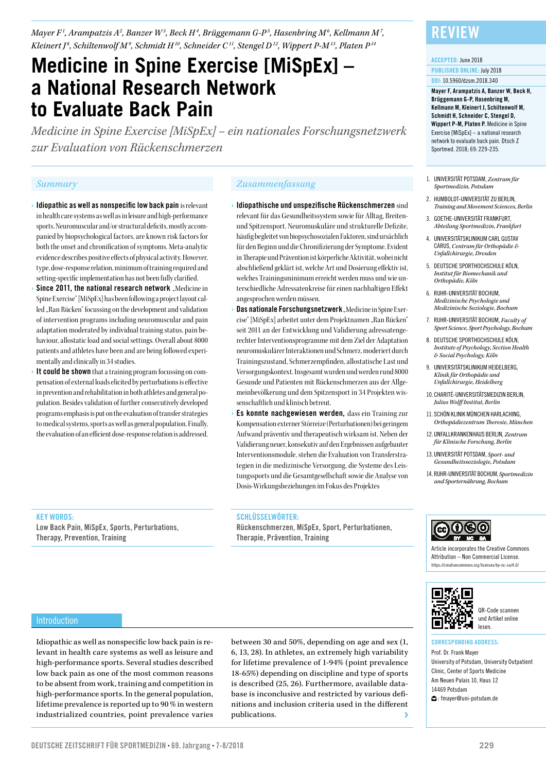*Mayer F1 , Arampatzis A2 , Banzer W3 , Beck H4 , Brüggemann G-P5 , Hasenbring M6 , Kellmann M7 , Kleinert J <sup>8</sup> , Schiltenwolf M9 , Schmidt H10, Schneider C11, Stengel D12, Wippert P-M13, Platen P14*

# **Medicine in Spine Exercise [MiSpEx] – a National Research Network to Evaluate Back Pain**

*Medicine in Spine Exercise [MiSpEx] – ein nationales Forschungsnetzwerk zur Evaluation von Rückenschmerzen*

- › Idiopathic as well as nonspecific low back pain is relevant in health care systems as well as in leisure and high-performance sports. Neuromuscular and/or structural deficits, mostly accompanied by biopsychological factors, are known risk factors for both the onset and chronification of symptoms. Meta-analytic evidence describes positive effects of physical activity. However, type, dose-response relation, minimum of training required and setting-specific implementation has not been fully clarified.
- Since 2011, the national research network . Medicine in Spine Exercise" [MiSpEx] has been following a project layout called "Ran Rücken" focussing on the development and validation of intervention programs including neuromuscular and pain adaptation moderated by individual training status, pain behaviour, allostatic load and social settings. Overall about 8000 patients and athletes have been and are being followed experimentally and clinically in 34 studies.
- It could be shown that a training program focussing on compensation of external loads elicited by perturbations is effective in prevention and rehabilitation in both athletes and general population. Besides validation of further consecutively developed programs emphasis is put on the evaluation of transfer strategies to medical systems, sports as well as general population. Finally, the evaluation of an efficient dose-response relation is addressed.

### *Summary Zusammenfassung*

- $\rightarrow$ Idiopathische und unspezifische Rückenschmerzen  $\sin$ d relevant für das Gesundheitssystem sowie für Alltag, Breitenund Spitzensport. Neuromuskuläre und strukturelle Defizite, häufig begleitet von biopsychosozialen Faktoren, sind ursächlich für den Beginn und die Chronifizierung der Symptome. Evident in Therapie und Prävention ist körperliche Aktivität, wobei nicht abschließend geklärt ist, welche Art und Dosierung effektiv ist, welches Trainingsminimum erreicht werden muss und wie unterschiedliche Adressatenkreise für einen nachhaltigen Effekt angesprochen werden müssen.
- Das nationale Forschungsnetzwerk "Medicine in Spine Exercise" [MiSpEx] arbeitet unter dem Projektnamen "Ran Rücken" seit 2011 an der Entwicklung und Validierung adressatengerechter Interventionsprogramme mit dem Ziel der Adaptation neuromuskulärer Interaktionen und Schmerz, moderiert durch Trainingszustand, Schmerzempfinden, allostatische Last und Versorgungskontext. Insgesamt wurden und werden rund 8000 Gesunde und Patienten mit Rückenschmerzen aus der Allgemeinbevölkerung und dem Spitzensport in 34 Projekten wissenschaftlich und klinisch betreut.
- Es konnte nachgewiesen werden, dass ein Training zur Kompensation externer Störreize (Perturbationen) bei geringem Aufwand präventiv und therapeutisch wirksam ist. Neben der Validierung neuer, konsekutiv auf den Ergebnissen aufgebauter Interventionsmodule, stehen die Evaluation von Transferstrategien in die medizinische Versorgung, die Systeme des Leistungssports und die Gesamtgesellschaft sowie die Analyse von Dosis-Wirkungsbeziehungen im Fokus des Projektes

### KEY WORDS:

Low Back Pain, MiSpEx, Sports, Perturbations, Therapy, Prevention, Training

#### SCHLÜSSELWÖRTER:

Rückenschmerzen, MiSpEx, Sport, Perturbationen, Therapie, Prävention, Training

### Review

#### ACCEPTED: June 2018

PUBLISHED ONLINE: July 2018 DOI: 10.5960/dzsm.2018.340

Mayer F, Arampatzis A, Banzer W, Beck H, Brüggemann G-P, Hasenbring M, Kellmann M, Kleinert J, Schiltenwolf M, Schmidt H, Schneider C, Stengel D, Wippert P-M, Platen P. Medicine in Spine Exercise [MiSpEx] – a national research network to evaluate back pain. Dtsch Z Sportmed. 2018; 69: 229-235.

- 1. UNIVERSITÄT POTSDAM, *Zentrum für Sportmedizin, Potsdam*
- 2. HUMBOLDT-UNIVERSITÄT ZU BERLIN, *Training and Movement Sciences, Berlin*
- 3. GOETHE-UNIVERSITÄT FRANKFURT, *Abteilung Sportmedizin, Frankfurt*
- 4. UNIVERSITÄTSKLINIKUM CARL GUSTAV CARUS, *Centrum für Orthopädie & Unfallchirurgie, Dresden*
- 5. DEUTSCHE SPORTHOCHSCHULE KÖLN, *Institut für Biomechanik und Orthopädie, Köln*
- 6. RUHR-UNIVERSITÄT BOCHUM, *Medizinische Psychologie und Medizinische Soziologie, Bochum*
- 7. RUHR-UNIVERSITÄT BOCHUM, *Faculty of Sport Science, Sport Psychology, Bochum*
- 8. DEUTSCHE SPORTHOCHSCHULE KÖLN, *Institute of Psychology, Section Health & Social Psychology, Köln*
- 9. UNIVERSITÄTSKLINIKUM HEIDELBERG, *Klinik für Orthopädie und Unfallchirurgie, Heidelberg*
- 10. CHARITÉ-UNIVERSITÄTSMEDIZIN BERLIN, *Julius Wolff Institut, Berlin*
- 11. SCHÖN KLINIK MÜNCHEN HARLACHING, *Orthopädiezentrum Theresie, München*
- 12.UNFALLKRANKENHAUS BERLIN, *Zentrum für Klinische Forschung, Berlin*
- 13.UNIVERSITÄT POTSDAM, *Sport- und Gesundheitssoziologie, Potsdam*
- 14. RUHR-UNIVERSITÄT BOCHUM, *Sportmedizin und Sporternährung, Bochum*



Article incorporates the Creative Commons Attribution – Non Commercial License. https://creativecommons.org/licenses/by-nc-sa/4.0/



### QR-Code scannen und Artikel online lesen.

### CORRESPONDING ADDRESS:

Prof. Dr. Frank Mayer University of Potsdam, University Outpatient Clinic, Center of Sports Medicine Am Neuen Palais 10, Haus 12 14469 Potsdam : fmayer@uni-potsdam.de

Idiopathic as well as nonspecific low back pain is relevant in health care systems as well as leisure and high-performance sports. Several studies described low back pain as one of the most common reasons to be absent from work, training and competition in high-performance sports. In the general population, lifetime prevalence is reported up to 90 % in western industrialized countries, point prevalence varies

between 30 and 50%, depending on age and sex (1, 6, 13, 28). In athletes, an extremely high variability for lifetime prevalence of 1-94% (point prevalence 18-65%) depending on discipline and type of sports is described (25, 26). Furthermore, available database is inconclusive and restricted by various definitions and inclusion criteria used in the different publications.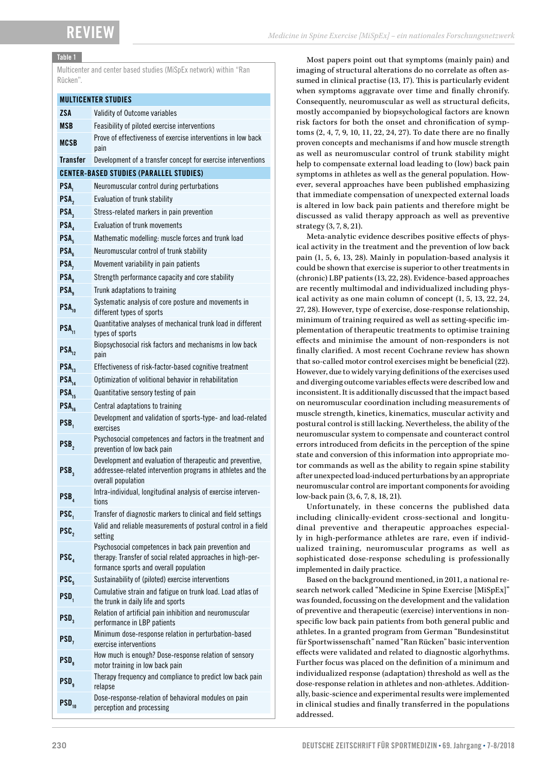### Table 1

Multicenter and center based studies (MiSpEx network) within "Ran Rücken".

### MULTICENTER STUDIES

| <b>ZSA</b>                                     | Validity of Outcome variables                                                                                                                                 |
|------------------------------------------------|---------------------------------------------------------------------------------------------------------------------------------------------------------------|
| <b>MSB</b>                                     | Feasibility of piloted exercise interventions                                                                                                                 |
| MCSB                                           | Prove of effectiveness of exercise interventions in low back<br>pain                                                                                          |
| <b>Transfer</b>                                | Development of a transfer concept for exercise interventions                                                                                                  |
| <b>CENTER-BASED STUDIES (PARALLEL STUDIES)</b> |                                                                                                                                                               |
| PSA <sub>1</sub>                               | Neuromuscular control during perturbations                                                                                                                    |
| PSA,                                           | Evaluation of trunk stability                                                                                                                                 |
| PSA <sub>3</sub>                               | Stress-related markers in pain prevention                                                                                                                     |
| PSA                                            | <b>Evaluation of trunk movements</b>                                                                                                                          |
| PSA <sub>5</sub>                               | Mathematic modelling: muscle forces and trunk load                                                                                                            |
| PSA <sub>s</sub>                               | Neuromuscular control of trunk stability                                                                                                                      |
| PSA,                                           | Movement variability in pain patients                                                                                                                         |
| PSA <sub>s</sub>                               | Strength performance capacity and core stability                                                                                                              |
| PSA <sub>a</sub>                               | Trunk adaptations to training                                                                                                                                 |
| PSA <sub>10</sub>                              | Systematic analysis of core posture and movements in<br>different types of sports                                                                             |
| PSA <sub>11</sub>                              | Quantitative analyses of mechanical trunk load in different<br>types of sports                                                                                |
| $PSA_{12}$                                     | Biopsychosocial risk factors and mechanisms in low back<br>pain                                                                                               |
| $PSA_{12}$                                     | Effectiveness of risk-factor-based cognitive treatment                                                                                                        |
| PSA <sub>14</sub>                              | Optimization of volitional behavior in rehabilitation                                                                                                         |
| $PSA_{15}$                                     | Quantitative sensory testing of pain                                                                                                                          |
| $PSA_{16}$                                     | Central adaptations to training                                                                                                                               |
| PSB,                                           | Development and validation of sports-type- and load-related<br>exercises                                                                                      |
| PSB,                                           | Psychosocial competences and factors in the treatment and<br>prevention of low back pain                                                                      |
| PSB <sub>3</sub>                               | Development and evaluation of therapeutic and preventive,<br>addressee-related intervention programs in athletes and the<br>overall population                |
| PSB <sub>4</sub>                               | Intra-individual, longitudinal analysis of exercise interven-<br>tions                                                                                        |
| PSC.                                           | Transfer of diagnostic markers to clinical and field settings                                                                                                 |
| PSC,                                           | Valid and reliable measurements of postural control in a field<br>setting                                                                                     |
| PSC <sub>4</sub>                               | Psychosocial competences in back pain prevention and<br>therapy: Transfer of social related approaches in high-per-<br>formance sports and overall population |
| PSC.                                           | Sustainability of (piloted) exercise interventions                                                                                                            |
| PSD,                                           | Cumulative strain and fatigue on trunk load. Load atlas of<br>the trunk in daily life and sports                                                              |
| PSD <sub>3</sub>                               | Relation of artificial pain inhibition and neuromuscular<br>performance in LBP patients                                                                       |
| PSD,                                           | Minimum dose-response relation in perturbation-based<br>exercise interventions                                                                                |
| PSD <sub>s</sub>                               | How much is enough? Dose-response relation of sensory<br>motor training in low back pain                                                                      |
| PSD <sub>a</sub>                               | Therapy frequency and compliance to predict low back pain<br>relapse                                                                                          |
| $PSD_{10}$                                     | Dose-response-relation of behavioral modules on pain<br>perception and processing                                                                             |

Most papers point out that symptoms (mainly pain) and imaging of structural alterations do no correlate as often assumed in clinical practise (13, 17). This is particularly evident when symptoms aggravate over time and finally chronify. Consequently, neuromuscular as well as structural deficits, mostly accompanied by biopsychological factors are known risk factors for both the onset and chronification of symptoms (2, 4, 7, 9, 10, 11, 22, 24, 27). To date there are no finally proven concepts and mechanisms if and how muscle strength as well as neuromuscular control of trunk stability might help to compensate external load leading to (low) back pain symptoms in athletes as well as the general population. However, several approaches have been published emphasizing that immediate compensation of unexpected external loads is altered in low back pain patients and therefore might be discussed as valid therapy approach as well as preventive strategy (3, 7, 8, 21).

Meta-analytic evidence describes positive effects of physical activity in the treatment and the prevention of low back pain (1, 5, 6, 13, 28). Mainly in population-based analysis it could be shown that exercise is superior to other treatments in (chronic) LBP patients (13, 22, 28). Evidence-based approaches are recently multimodal and individualized including physical activity as one main column of concept (1, 5, 13, 22, 24, 27, 28). However, type of exercise, dose-response relationship, minimum of training required as well as setting-specific implementation of therapeutic treatments to optimise training effects and minimise the amount of non-responders is not finally clarified. A most recent Cochrane review has shown that so-called motor control exercises might be beneficial (22). However, due to widely varying definitions of the exercises used and diverging outcome variables effects were described low and inconsistent. It is additionally discussed that the impact based on neuromuscular coordination including measurements of muscle strength, kinetics, kinematics, muscular activity and postural control is still lacking. Nevertheless, the ability of the neuromuscular system to compensate and counteract control errors introduced from deficits in the perception of the spine state and conversion of this information into appropriate motor commands as well as the ability to regain spine stability after unexpected load-induced perturbations by an appropriate neuromuscular control are important components for avoiding low-back pain (3, 6, 7, 8, 18, 21).

Unfortunately, in these concerns the published data including clinically-evident cross-sectional and longitudinal preventive and therapeutic approaches especially in high-performance athletes are rare, even if individualized training, neuromuscular programs as well as sophisticated dose-response scheduling is professionally implemented in daily practice.

Based on the background mentioned, in 2011, a national research network called "Medicine in Spine Exercise [MiSpEx]" was founded, focussing on the development and the validation of preventive and therapeutic (exercise) interventions in nonspecific low back pain patients from both general public and athletes. In a granted program from German "Bundesinstitut für Sportwissenschaft" named "Ran Rücken" basic intervention effects were validated and related to diagnostic algorhythms. Further focus was placed on the definition of a minimum and individualized response (adaptation) threshold as well as the dose-response relation in athletes and non-athletes. Additionally, basic-science and experimental results were implemented in clinical studies and finally transferred in the populations addressed.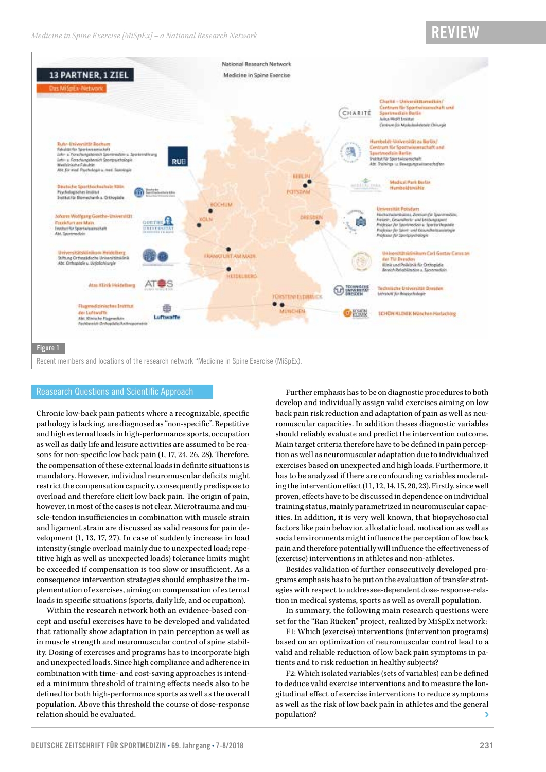### Review



### Reasearch Questions and Scientific Approach

Chronic low-back pain patients where a recognizable, specific pathology is lacking, are diagnosed as "non-specific". Repetitive and high external loads in high-performance sports, occupation as well as daily life and leisure activities are assumed to be reasons for non-specific low back pain (1, 17, 24, 26, 28). Therefore, the compensation of these external loads in definite situations is mandatory. However, individual neuromuscular deficits might restrict the compensation capacity, consequently predispose to overload and therefore elicit low back pain. The origin of pain, however, in most of the cases is not clear. Microtrauma and muscle-tendon insufficiencies in combination with muscle strain and ligament strain are discussed as valid reasons for pain development (1, 13, 17, 27). In case of suddenly increase in load intensity (single overload mainly due to unexpected load; repetitive high as well as unexpected loads) tolerance limits might be exceeded if compensation is too slow or insufficient. As a consequence intervention strategies should emphasize the implementation of exercises, aiming on compensation of external loads in specific situations (sports, daily life, and occupation).

Within the research network both an evidence-based concept and useful exercises have to be developed and validated that rationally show adaptation in pain perception as well as in muscle strength and neuromuscular control of spine stability. Dosing of exercises and programs has to incorporate high and unexpected loads. Since high compliance and adherence in combination with time- and cost-saving approaches is intended a minimum threshold of training effects needs also to be defined for both high-performance sports as well as the overall population. Above this threshold the course of dose-response relation should be evaluated.

Further emphasis has to be on diagnostic procedures to both develop and individually assign valid exercises aiming on low back pain risk reduction and adaptation of pain as well as neuromuscular capacities. In addition theses diagnostic variables should reliably evaluate and predict the intervention outcome. Main target criteria therefore have to be defined in pain perception as well as neuromuscular adaptation due to individualized exercises based on unexpected and high loads. Furthermore, it has to be analyzed if there are confounding variables moderating the intervention effect (11, 12, 14, 15, 20, 23). Firstly, since well proven, effects have to be discussed in dependence on individual training status, mainly parametrized in neuromuscular capacities. In addition, it is very well known, that biopsychosocial factors like pain behavior, allostatic load, motivation as well as social environments might influence the perception of low back pain and therefore potentially will influence the effectiveness of (exercise) interventions in athletes and non-athletes.

Besides validation of further consecutively developed programs emphasis has to be put on the evaluation of transfer strategies with respect to addressee-dependent dose-response-relation in medical systems, sports as well as overall population.

In summary, the following main research questions were set for the "Ran Rücken" project, realized by MiSpEx network:

F1: Which (exercise) interventions (intervention programs) based on an optimization of neuromuscular control lead to a valid and reliable reduction of low back pain symptoms in patients and to risk reduction in healthy subjects?

F2: Which isolated variables (sets of variables) can be defined to deduce valid exercise interventions and to measure the longitudinal effect of exercise interventions to reduce symptoms as well as the risk of low back pain in athletes and the general population?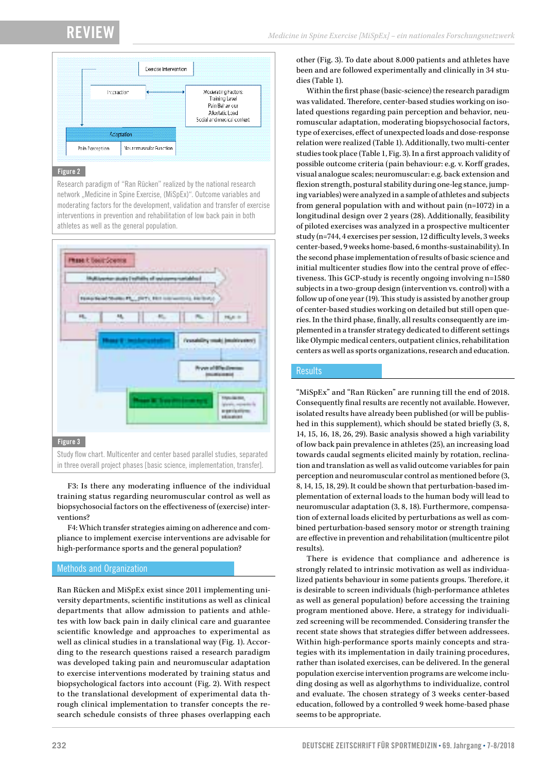## Review



### Figure 2

Research paradigm of "Ran Rücken" realized by the national research network "Medicine in Spine Exercise, (MiSpEx)". Outcome variables and moderating factors for the development, validation and transfer of exercise interventions in prevention and rehabilitation of low back pain in both athletes as well as the general population.



### Figure 3

Study flow chart. Multicenter and center based parallel studies, separated in three overall project phases [basic science, implementation, transfer].

F3: Is there any moderating influence of the individual training status regarding neuromuscular control as well as biopsychosocial factors on the effectiveness of (exercise) interventions?

F4: Which transfer strategies aiming on adherence and compliance to implement exercise interventions are advisable for high-performance sports and the general population?

### Methods and Organization

Ran Rücken and MiSpEx exist since 2011 implementing university departments, scientific institutions as well as clinical departments that allow admission to patients and athletes with low back pain in daily clinical care and guarantee scientific knowledge and approaches to experimental as well as clinical studies in a translational way (Fig. 1). According to the research questions raised a research paradigm was developed taking pain and neuromuscular adaptation to exercise interventions moderated by training status and biopsychological factors into account (Fig. 2). With respect to the translational development of experimental data through clinical implementation to transfer concepts the research schedule consists of three phases overlapping each

other (Fig. 3). To date about 8.000 patients and athletes have been and are followed experimentally and clinically in 34 studies (Table 1).

Within the first phase (basic-science) the research paradigm was validated. Therefore, center-based studies working on isolated questions regarding pain perception and behavior, neuromuscular adaptation, moderating biopsychosocial factors, type of exercises, effect of unexpected loads and dose-response relation were realized (Table 1). Additionally, two multi-center studies took place (Table 1, Fig. 3). In a first approach validity of possible outcome criteria (pain behaviour: e.g. v. Korff grades, visual analogue scales; neuromuscular: e.g. back extension and flexion strength, postural stability during one-leg stance, jumping variables) were analyzed in a sample of athletes and subjects from general population with and without pain (n=1072) in a longitudinal design over 2 years (28). Additionally, feasibility of piloted exercises was analyzed in a prospective multicenter study (n=744, 4 exercises per session, 12 difficulty levels, 3 weeks center-based, 9 weeks home-based, 6 months-sustainability). In the second phase implementation of results of basic science and initial multicenter studies flow into the central prove of effectiveness. This GCP-study is recently ongoing involving n=1580 subjects in a two-group design (intervention vs. control) with a follow up of one year (19). This study is assisted by another group of center-based studies working on detailed but still open queries. In the third phase, finally, all results consequently are implemented in a transfer strategy dedicated to different settings like Olympic medical centers, outpatient clinics, rehabilitation centers as well as sports organizations, research and education.

### **Results**

"MiSpEx" and "Ran Rücken" are running till the end of 2018. Consequently final results are recently not available. However, isolated results have already been published (or will be published in this supplement), which should be stated briefly (3, 8, 14, 15, 16, 18, 26, 29). Basic analysis showed a high variability of low back pain prevalence in athletes (25), an increasing load towards caudal segments elicited mainly by rotation, reclination and translation as well as valid outcome variables for pain perception and neuromuscular control as mentioned before (3, 8, 14, 15, 18, 29). It could be shown that perturbation-based implementation of external loads to the human body will lead to neuromuscular adaptation (3, 8, 18). Furthermore, compensation of external loads elicited by perturbations as well as combined perturbation-based sensory motor or strength training are effective in prevention and rehabilitation (multicentre pilot results).

There is evidence that compliance and adherence is strongly related to intrinsic motivation as well as individualized patients behaviour in some patients groups. Therefore, it is desirable to screen individuals (high-performance athletes as well as general population) before accessing the training program mentioned above. Here, a strategy for individualized screening will be recommended. Considering transfer the recent state shows that strategies differ between addressees. Within high-performance sports mainly concepts and strategies with its implementation in daily training procedures, rather than isolated exercises, can be delivered. In the general population exercise intervention programs are welcome including dosing as well as algorhythms to individualize, control and evaluate. The chosen strategy of 3 weeks center-based education, followed by a controlled 9 week home-based phase seems to be appropriate.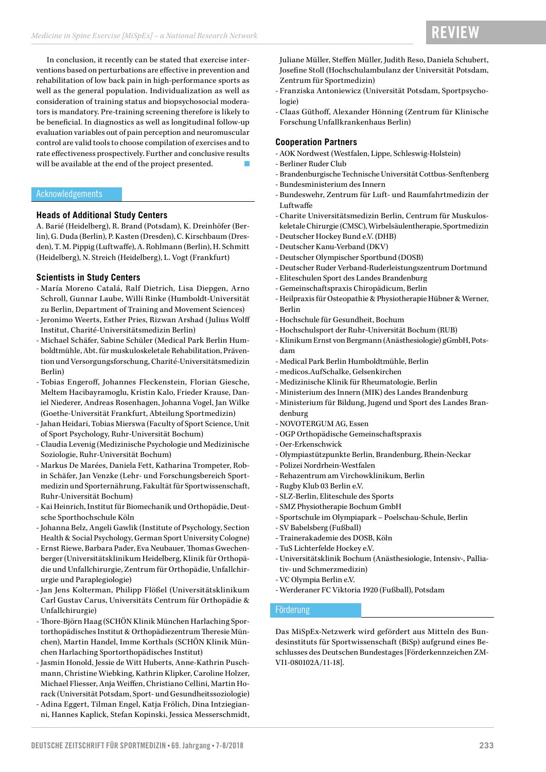# **REVIEW**

In conclusion, it recently can be stated that exercise interventions based on perturbations are effective in prevention and rehabilitation of low back pain in high-performance sports as well as the general population. Individualization as well as consideration of training status and biopsychosocial moderators is mandatory. Pre-training screening therefore is likely to be beneficial. In diagnostics as well as longitudinal follow-up evaluation variables out of pain perception and neuromuscular control are valid tools to choose compilation of exercises and to rate effectiveness prospectively. Further and conclusive results will be available at the end of the project presented.

### Acknowledgements

### **Heads of Additional Study Centers**

A. Barié (Heidelberg), R. Brand (Potsdam), K. Dreinhöfer (Berlin), G. Duda (Berlin), P. Kasten (Dresden), C. Kirschbaum (Dresden), T. M. Pippig (Luftwaffe), A. Rohlmann (Berlin), H. Schmitt (Heidelberg), N. Streich (Heidelberg), L. Vogt (Frankfurt)

### **Scientists in Study Centers**

- María Moreno Catalá, Ralf Dietrich, Lisa Diepgen, Arno Schroll, Gunnar Laube, Willi Rinke (Humboldt-Universität zu Berlin, Department of Training and Movement Sciences)
- Jeronimo Weerts, Esther Pries, Rizwan Arshad (Julius Wolff Institut, Charité-Universitätsmedizin Berlin)
- Michael Schäfer, Sabine Schüler (Medical Park Berlin Humboldtmühle, Abt. für muskuloskeletale Rehabilitation, Prävention und Versorgungsforschung, Charité-Universitätsmedizin Berlin)
- Tobias Engeroff, Johannes Fleckenstein, Florian Giesche, Meltem Hacibayramoglu, Kristin Kalo, Frieder Krause, Daniel Niederer, Andreas Rosenhagen, Johanna Vogel, Jan Wilke (Goethe-Universität Frankfurt, Abteilung Sportmedizin)
- Jahan Heidari, Tobias Mierswa (Faculty of Sport Science, Unit of Sport Psychology, Ruhr-Universität Bochum)
- Claudia Levenig (Medizinische Psychologie und Medizinische Soziologie, Ruhr-Universität Bochum)
- Markus De Marées, Daniela Fett, Katharina Trompeter, Robin Schäfer, Jan Venzke (Lehr- und Forschungsbereich Sportmedizin und Sporternährung, Fakultät für Sportwissenschaft, Ruhr-Universität Bochum)
- Kai Heinrich, Institut für Biomechanik und Orthopädie, Deutsche Sporthochschule Köln
- Johanna Belz, Angeli Gawlik (Institute of Psychology, Section Health & Social Psychology, German Sport University Cologne)
- Ernst Riewe, Barbara Pader, Eva Neubauer, Thomas Gwechenberger (Universitätsklinikum Heidelberg, Klinik für Orthopädie und Unfallchirurgie, Zentrum für Orthopädie, Unfallchirurgie und Paraplegiologie)
- Jan Jens Kolterman, Philipp Flößel (Universitätsklinikum Carl Gustav Carus, Universitäts Centrum für Orthopädie & Unfallchirurgie)
- Thore-Björn Haag (SCHÖN Klinik München Harlaching Sportorthopädisches Institut & Orthopädiezentrum Theresie München), Martin Handel, Imme Korthals (SCHÖN Klinik München Harlaching Sportorthopädisches Institut)
- Jasmin Honold, Jessie de Witt Huberts, Anne-Kathrin Puschmann, Christine Wiebking, Kathrin Klipker, Caroline Holzer, Michael Fliesser, Anja Weiffen, Christiano Cellini, Martin Horack (Universität Potsdam, Sport- und Gesundheitssoziologie)
- Adina Eggert, Tilman Engel, Katja Frölich, Dina Intziegianni, Hannes Kaplick, Stefan Kopinski, Jessica Messerschmidt,

Juliane Müller, Steffen Müller, Judith Reso, Daniela Schubert, Josefine Stoll (Hochschulambulanz der Universität Potsdam, Zentrum für Sportmedizin)

- Franziska Antoniewicz (Universität Potsdam, Sportpsychologie)
- Claas Güthoff, Alexander Hönning (Zentrum für Klinische Forschung Unfallkrankenhaus Berlin)

### **Cooperation Partners**

- AOK Nordwest (Westfalen, Lippe, Schleswig-Holstein)
- Berliner Ruder Club
- Brandenburgische Technische Universität Cottbus-Senftenberg
- Bundesministerium des Innern
- Bundeswehr, Zentrum für Luft- und Raumfahrtmedizin der Luftwaffe
- Charite Universitätsmedizin Berlin, Centrum für Muskuloskeletale Chirurgie (CMSC), Wirbelsäulentherapie, Sportmedizin
- Deutscher Hockey Bund e.V. (DHB)
- Deutscher Kanu-Verband (DKV)
- Deutscher Olympischer Sportbund (DOSB)
- Deutscher Ruder Verband-Ruderleistungszentrum Dortmund
- Eliteschulen Sport des Landes Brandenburg
- Gemeinschaftspraxis Chiropädicum, Berlin
- Heilpraxis für Osteopathie & Physiotherapie Hübner & Werner, Berlin
- Hochschule für Gesundheit, Bochum
- Hochschulsport der Ruhr-Universität Bochum (RUB)
- Klinikum Ernst von Bergmann (Anästhesiologie) gGmbH, Potsdam
- Medical Park Berlin Humboldtmühle, Berlin
- medicos.AufSchalke, Gelsenkirchen
- Medizinische Klinik für Rheumatologie, Berlin
- Ministerium des Innern (MIK) des Landes Brandenburg
- Ministerium für Bildung, Jugend und Sport des Landes Brandenburg
- NOVOTERGUM AG, Essen
- OGP Orthopädische Gemeinschaftspraxis
- Oer-Erkenschwick
- Olympiastützpunkte Berlin, Brandenburg, Rhein-Neckar
- Polizei Nordrhein-Westfalen
- Rehazentrum am Virchowklinikum, Berlin
- Rugby Klub 03 Berlin e.V.
- SLZ-Berlin, Eliteschule des Sports
- SMZ Physiotherapie Bochum GmbH
- Sportschule im Olympiapark Poelschau-Schule, Berlin
- SV Babelsberg (Fußball)
- Trainerakademie des DOSB, Köln
- TuS Lichterfelde Hockey e.V.
- Universitätsklinik Bochum (Anästhesiologie, Intensiv-, Palliativ- und Schmerzmedizin)
- VC Olympia Berlin e.V.
- Werderaner FC Viktoria 1920 (Fußball), Potsdam

### Förderung

Das MiSpEx-Netzwerk wird gefördert aus Mitteln des Bundesinstituts für Sportwissenschaft (BiSp) aufgrund eines Beschlusses des Deutschen Bundestages [Förderkennzeichen ZM-VI1-080102A/11-18].